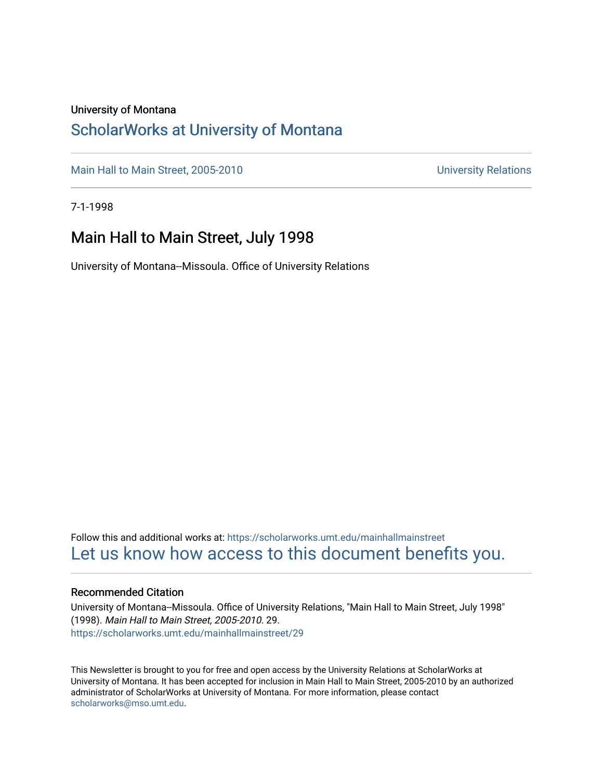#### University of Montana

## [ScholarWorks at University of Montana](https://scholarworks.umt.edu/)

[Main Hall to Main Street, 2005-2010](https://scholarworks.umt.edu/mainhallmainstreet) Main Hall to Main Street, 2005-2010

7-1-1998

## Main Hall to Main Street, July 1998

University of Montana--Missoula. Office of University Relations

Follow this and additional works at: [https://scholarworks.umt.edu/mainhallmainstreet](https://scholarworks.umt.edu/mainhallmainstreet?utm_source=scholarworks.umt.edu%2Fmainhallmainstreet%2F29&utm_medium=PDF&utm_campaign=PDFCoverPages) [Let us know how access to this document benefits you.](https://goo.gl/forms/s2rGfXOLzz71qgsB2) 

#### Recommended Citation

University of Montana--Missoula. Office of University Relations, "Main Hall to Main Street, July 1998" (1998). Main Hall to Main Street, 2005-2010. 29. [https://scholarworks.umt.edu/mainhallmainstreet/29](https://scholarworks.umt.edu/mainhallmainstreet/29?utm_source=scholarworks.umt.edu%2Fmainhallmainstreet%2F29&utm_medium=PDF&utm_campaign=PDFCoverPages) 

This Newsletter is brought to you for free and open access by the University Relations at ScholarWorks at University of Montana. It has been accepted for inclusion in Main Hall to Main Street, 2005-2010 by an authorized administrator of ScholarWorks at University of Montana. For more information, please contact [scholarworks@mso.umt.edu.](mailto:scholarworks@mso.umt.edu)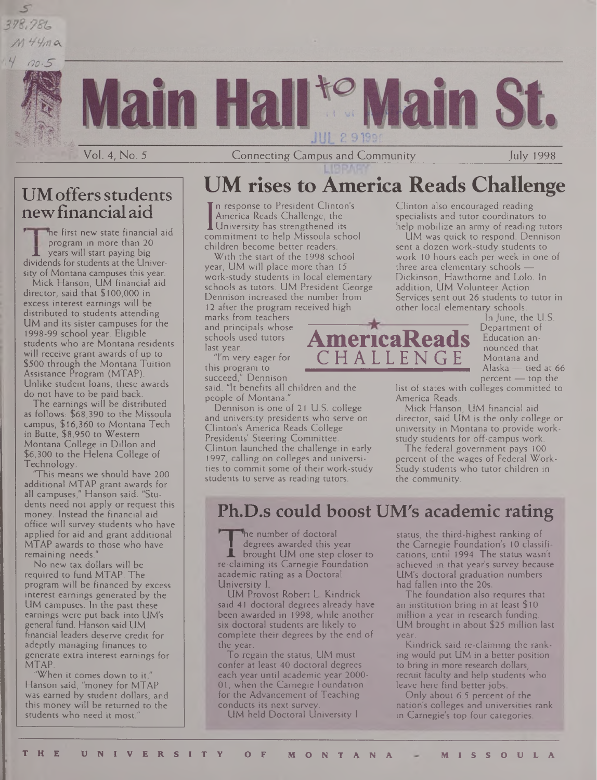## 378,786  $M$ 44 $m$ a  $00.5$





Vol. 4, No. 5 Connecting Campus and Community July 1998

## UMoffersstudents newfinancial aid

The first new state financial aid program in more than 20 years will start paying big dividends for students at the University of Montana campuses this year.

Mick Hanson, UM financial aid director, said that \$100,000 in excess interest earnings will be distributed to students attending UM and its sister campuses for the 1998-99 school year. Eligible students who are Montana residents will receive grant awards of up to \$500 through the Montana Tuition Assistance Program (MTAP). Unlike student loans, these awards do not have to be paid back.

The earnings will be distributed as follows: \$68,390 to the Missoula campus, \$16,360 to Montana Tech in Butte, \$8,950 to Western Montana College in Dillon and \$6,300 to the Helena College of Technology.

This means we should have 200 additional MTAP grant awards for all campuses," Hanson said. "Students need not apply or request this money. Instead the financial aid office will survey students who have applied for aid and grant additional MTAP awards to those who have remaining needs."

No new tax dollars will be required to fund MTAP. The program will be financed by excess interest earnings generated by the UM campuses. In the past these earnings were put back into UM's general fund. Hanson said UM financial leaders deserve credit for adeptly managing finances to generate extra interest earnings for MTAP.

"When it comes down to it," Hanson said, "money for MTAP was earned by student dollars, and this money will be returned to the students who need it most."

## **UM rises to America Reads Challenge**

I America Reads Chancinge, the<br>Commitment to help Missoula school n response to President Clinton's America Reads Challenge, the University has strengthened its children become better readers.

With the start of the 1998 school year, UM will place more than 15 work-study students in local elementary schools as tutors. UM President George Dennison increased the number from 12 after the program received high

marks from teachers and principals whose schools used tutors last year.

"I'm very eager for this program to succeed," Dennison said. "It benefits all children and the

people of Montana."

Dennison is one of 21 U.S. college and university presidents who serve on Clinton's America Reads College Presidents' Steering Committee. Clinton launched the challenge in early 1997, calling on colleges and universities to commit some of their work-study students to serve as reading tutors.

Clinton also encouraged reading specialists and tutor coordinators to help mobilize an army of reading tutors.

UM was quick to respond. Dennison sent a dozen work-study students to work 10 hours each per week in one of three area elementary schools — Dickinson, Hawthorne and Lolo. In addition, UM Volunteer Action Services sent out 26 students to tutor in other local elementary schools.

In June, the U.S. Department of Education announced that Montana and Alaska — tied at 66 percent — top the

list of states with colleges committed to America Reads.

Mick Hanson, UM financial aid director, said UM is the only college or university in Montana to provide workstudy students for off-campus work.

The federal government pays 100 percent of the wages of Federal Work-Study students who tutor children in the community.

## **Ph.D.s could boost UM's academic rating**

 **| 'he** number of doctoral **<sup>I</sup>** degrees awarded this year **JL** brought UM one step closer to re-claiming its Carnegie Foundation academic rating as a Doctoral University I.

UM Provost Robert L. Kindrick said 41 doctoral degrees already have been awarded in 1998, while another six doctoral students are likely to complete their degrees by the end of the year.

To regain the status, UM must confer at least 40 doctoral degrees each year until academic year 2000- 01, when the Carnegie Foundation for the Advancement of Teaching Conducts its next survey.

UM held Doctoral University <sup>I</sup>

status, the third-highest ranking of the Carnegie Foundation's 10 classifications, until 1994. The status wasn't achieved in that year's survey because UM's doctoral graduation numbers had fallen into the 20s.

The foundation also requires that an institution bring in at least \$10 million a year in research funding. UM brought in about \$25 million last year.

Kindrick said re-claiming the ranking would put UM in a better position to bring in more research dollars, recruit faculty and help students who leave here find better jobs.

Only about 6.5 percent of the nation's colleges and universities rank in Carnegie's top four categories.



CHALLENGE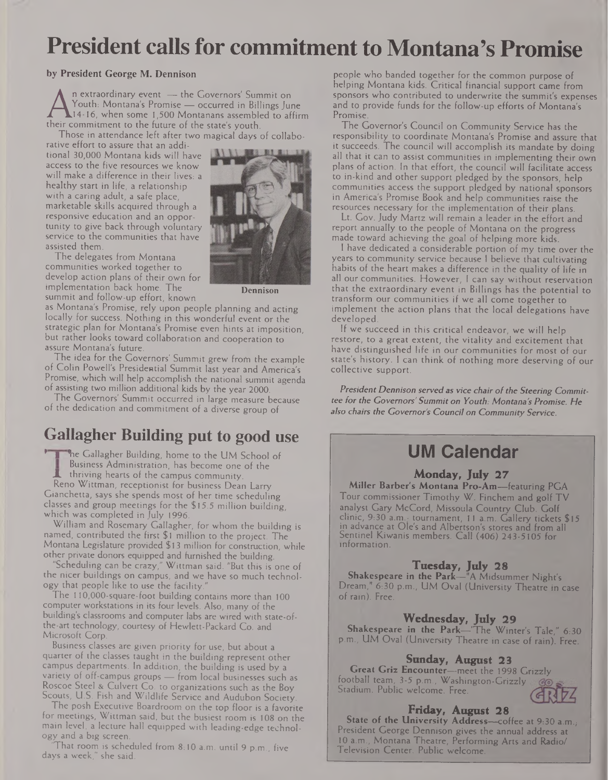# **President calls for commitment to Montana's Promise**

#### **by President George M. Dennison**

Youth: Montana's Promise — occurred in Billings J<br>14-16, when some 1,500 Montanans assembled to a<br>their commitment to the future of the state's youth.<br>Those in attendance left after two magical days of coll n extraordinary event — the Governors' Summit on Youth: Montana's Promise — occurred in Billings June .14-16, when some 1,500 Montanans assembled to affirm

Those in attendance left after two magical days of collabo-

rative effort to assure that an additional 30,000 Montana kids will have access to the five resources we know will make a difference in their lives: a healthy start in life, a relationship with a caring adult, a safe place, marketable skills acquired through a responsive education and an opportunity to give back through voluntary service to the communities that have assisted them.

The delegates from Montana communities worked together to develop action plans of their own for implementation back home. The summit and follow-up effort, known



**Dennison**

as Montana's Promise, rely upon people planning and acting locally for success. Nothing in this wonderful event or the strategic plan for Montana's Promise even hints at imposition, but rather looks toward collaboration and cooperation to assure Montana's future.

The idea for the Governors' Summit grew from the example of Colin Powell's Presidential Summit last year and America's Promise, which will help accomplish the national summit agenda of assisting two million additional kids by the year 2000.

The Governors' Summit occurred in large measure because of the dedication and commitment of a diverse group of

## **Gallagher Building put to good use**

The Gallagher Building, home to the UM School of Business Administration, has become one of the thriving hearts of the campus community.

Reno Wittman, receptionist for business Dean Larry Gianchetta, says she spends most of her time scheduling classes and group meetings for the \$15.5 million building, which was completed in July 1996.

William and Rosemary Gallagher, for whom the building is named, contributed the first \$1 million to the project. The Montana Legislature provided \$13 million for construction, while other private donors equipped and furnished the building.

"Scheduling can be crazy," Wittman said. "But this is one of the nicer buildings on campus, and we have so much technology that people like to use the facility."

The 110,000-square-foot building contains more than 100 computer workstations in its four levels. Also, many of the building's classrooms and computer labs are wired with state-ofthe-art technology, courtesy of Hewlett-Packard Co. and Microsoft Corp.

Business classes are given priority for use, but about a quarter of the classes taught in the building represent other campus departments. In addition, the building is used by a variety of off-campus groups — from local businesses such as Roscoe Steel & Culvert Co. to organizations such as the Boy Scouts, U.S. Fish and Wildlife Service and Audubon Society.

The posh Executive Boardroom on the top floor is a favorite for meetings, Wittman said, but the busiest room is 108 on the main level, a lecture hall equipped with leading-edge technology and a big screen.

That room is scheduled from 8:10 a.m. until 9 p.m., five days a week," she said.

people who banded together for the common purpose of helping Montana kids. Critical financial support came from sponsors who contributed to underwrite the summit's expenses and to provide funds for the follow-up efforts of Montana's Promise.

The Governor's Council on Community Service has the responsibility to coordinate Montana's Promise and assure that it succeeds. The council will accomplish its mandate by doing all that it can to assist communities in implementing their own plans of action. In that effort, the council will facilitate access to in-kind and other support pledged by the sponsors, help communities access the support pledged by national sponsors in America's Promise Book and help communities raise the resources necessary for the implementation of their plans.

Lt. Gov. Judy Martz will remain a leader in the effort and report annually to the people of Montana on the progress made toward achieving the goal of helping more kids.

<sup>I</sup> have dedicated a considerable portion of my time over the years to community service because <sup>I</sup> believe that cultivating habits of the heart makes a difference in the quality of life in all our communities. However, <sup>I</sup> can say without reservation that the extraordinary event in Billings has the potential to transform our communities if we all come together to implement the action plans that the local delegations have developed.

If we succeed in this critical endeavor, we will help restore, to a great extent, the vitality and excitement that have distinguished life in our communities for most of our state's history. <sup>I</sup> can think of nothing more deserving of our collective support.

*President Dennison served as vice chair ofthe Steering Committee for the Governors' Summit on Youth: Montana'sPromise. He also chairs the Governor's Council on Community Service.*

## **UM Calendar**

#### **Monday, July** *27*

**Miller Barber's Montana Pro-Am—**featuring PGA Tour commissioner Timothy W. Finchem and golf TV analyst Gary McCord, Missoula Country Club. Golf clinic, 9:30 a.m.- tournament, 11 a.m. Gallery tickets \$15 in advance at Ole's and Albertson's stores and from all Sentinel Kiwanis members. Call (406) 243-5105 for information.

#### **Tuesday, July 28**

**Shakespeare in the Park—"A** Midsummer Night's Dream," 6:30 p.m., UM Oval (University Theatre in case of rain). Free.

## **Wednesday, July 29**

**Shakespeare in the Park—**"The Winter's Tale," 6:30 p.m., UM Oval (University Theatre in case of rain). Free.

#### **Sunday, August 23**

**Great Griz Encounter—**meet the 1998 Grizzly football team, 3-5 p.m., **Washington-Grizzly** Stadium. Public welcome. Free.



#### **Friday, August 28**

State of the University Address-coffee at 9:30 a.m., President George Dennison gives the annual address at 10 a.m., Montana Theatre, Performing Arts and Radio/ Television Center. Public welcome.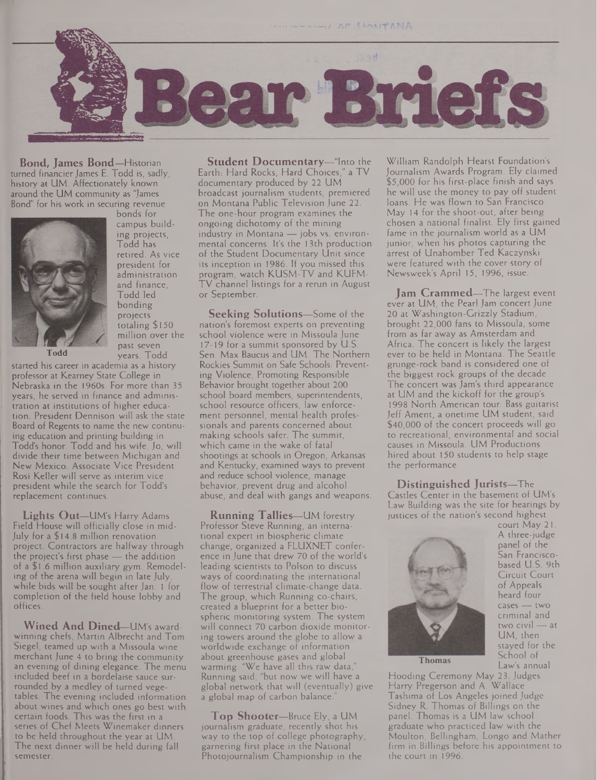

**Bond, James Bond—**Historian turned financier James E. Todd is, sadly, history at UM. Affectionately known around the UM community as "James Bond" for his work in securing revenue



bonds for campus building projects, Todd has retired. As vice president for administration and finance, Todd led bonding projects totaling \$150 million over the past seven years. Todd

**Todd**

started his career in academia as a history professor at Kearney State College in Nebraska in the 1960s. For more than 35 years, he served in finance and administration at institutions of higher education. President Dennison will ask the state Board of Regents to name the new continuing education and printing building in Todd's honor. Todd and his wife, Jo, will divide their time between Michigan and New Mexico. Associate Vice President Rosi Keller will serve as interim vice president while the search for Todd's replacement continues.

**Lights Out—**UM's Harry Adams Field House will officially close in mid-July for a \$14.8 million renovation project. Contractors are halfway through the project's first phase — the addition of a \$1.6 million auxiliary gym. Remodeling of the arena will begin in late July, while bids will be sought after Jan. <sup>1</sup> for completion of the field house lobby and offices.

**Wined And Dined—**UM's awardwinning chefs, Martin Albrecht and Tom Siegel, teamed up with a Missoula wine merchant June 4 to bring the community an evening of dining elegance. The menu included beef in a bordelaise sauce surrounded by a medley of turned vegetables. The evening included information about wines and which ones go best with certain foods. This was the first in a series of Chef Meets Winemaker dinners to be held throughout the year at UM. The next dinner will be held during fall semester.

**Student Documentary—**"Into the Earth: Hard Rocks, Hard Choices," a TV documentary produced by 22 UM broadcast journalism students, premiered on Montana Public Television June 22. The one-hour program examines the ongoing dichotomy of the mining industry in Montana - jobs vs. environmental concerns. It's the 13th production of the Student Documentary Unit since its inception in 1986. If you missed this program, watch KUSM-TV and KUFM-TV channel listings for a rerun in August or September.

**Seeking Solutions—**Some of the nation's foremost experts on preventing school violence were in Missoula June 17-19 for a summit sponsored by U.S. Sen. Max Baucus and UM. The Northern Rockies Summit on Safe Schools: Preventing Violence, Promoting Responsible Behavior brought together about 200 school board members, superintendents, school resource officers, law enforcement personnel, mental health professionals and parents concerned about making schools safer. The summit, which came in the wake of fatal shootings at schools in Oregon, Arkansas and Kentucky, examined ways to prevent and reduce school violence, manage behavior, prevent drug and alcohol abuse, and deal with gangs and weapons.

**Running Tallies—**UM forestry Professor Steve Running, an international expert in biospheric climate change, organized a FLUXNET conference in June that drew 70 of the world's leading scientists to Polson to discuss ways of coordinating the international flow of terrestrial climate-change data. The group, which Running co-chairs, created a blueprint for a better biospheric monitoring system. The system will connect 70 carbon dioxide monitoring towers around the globe to allow a worldwide exchange of information about greenhouse gases and global warming. "We have all this raw data," Running said, "but now we will have a global network that will (eventually) give a global map of carbon balance.

**Top Shooter—**Bruce Ely, a UM journalism graduate, recently shot his way to the top of college photography, garnering first place in the National Photojournalism Championship in the

William Randolph Hearst Foundation's Journalism Awards Program. Ely claimed \$5,000 for his first-place finish and says he will use the money to pay off student loans. He was flown to San Francisco May 14 for the shoot-out, after being chosen a national finalist. Ely first gained fame in the journalism world as a UM junior, when his photos capturing the arrest of Unabomber Ted Kaczynski were featured with the cover story of Newsweek's April 15, 1996, issue.

**Jam Crammed—**The largest event ever at UM, the Pearl Jam concert June 20 at Washington-Grizzly Stadium, brought 22,000 fans to Missoula, some from as far away as Amsterdam and Africa. The concert is likely the largest ever to be held in Montana. The Seattle grunge-rock band is considered one of the biggest rock groups of the decade. The concert was Jam's third appearance at UM and the kickoff for the group's 1998 North American tour. Bass guitarist Jeff Ament, a onetime UM student, said \$40,000 of the concert proceeds will go to recreational, environmental and social causes in Missoula. UM Productions hired about 150 students to help stage the performance.

**Distinguished Jurists—**The Castles Center in the basement of UM's Law Building was the site for hearings by justices of the nation's second highest



court May 21. A three-judge panel of the San Franciscobased U.S. 9th Circuit Court of Appeals heard four cases — two criminal and two civil — at UM, then stayed for the School of Law's annual

Thomas

Hooding Ceremony May 23. Judges Harry Pregerson and A. Wallace Tashima of Los Angeles joined Judge Sidney R. Thomas of Billings on the panel. Thomas is a UM law school graduate who practiced law with the Moulton, Bellingham, Longo and Mather firm in Billings before his appointment to the court in 1996.